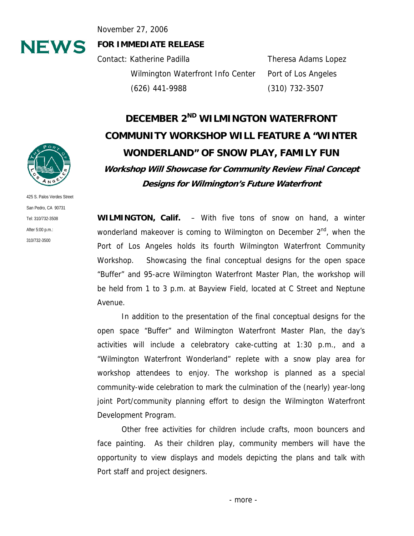November 27, 2006

# **NEWS**

**FOR IMMEDIATE RELEASE** 

Contact: Katherine Padilla Theresa Adams Lopez Wilmington Waterfront Info Center Port of Los Angeles (626) 441-9988 (310) 732-3507

# **DECEMBER 2ND WILMINGTON WATERFRONT COMMUNITY WORKSHOP WILL FEATURE A "WINTER WONDERLAND" OF SNOW PLAY, FAMILY FUN Workshop Will Showcase for Community Review Final Concept Designs for Wilmington's Future Waterfront**

**WILMINGTON, Calif.** – With five tons of snow on hand, a winter wonderland makeover is coming to Wilmington on December  $2^{nd}$ , when the Port of Los Angeles holds its fourth Wilmington Waterfront Community Workshop. Showcasing the final conceptual designs for the open space "Buffer" and 95-acre Wilmington Waterfront Master Plan, the workshop will be held from 1 to 3 p.m. at Bayview Field, located at C Street and Neptune Avenue.

In addition to the presentation of the final conceptual designs for the open space "Buffer" and Wilmington Waterfront Master Plan, the day's activities will include a celebratory cake-cutting at 1:30 p.m., and a "Wilmington Waterfront Wonderland" replete with a snow play area for workshop attendees to enjoy. The workshop is planned as a special community-wide celebration to mark the culmination of the (nearly) year-long joint Port/community planning effort to design the Wilmington Waterfront Development Program.

Other free activities for children include crafts, moon bouncers and face painting. As their children play, community members will have the opportunity to view displays and models depicting the plans and talk with Port staff and project designers.



425 S. Palos Verdes Street San Pedro, CA 90731 Tel: 310/732-3508 After 5:00 p.m.: 310/732-3500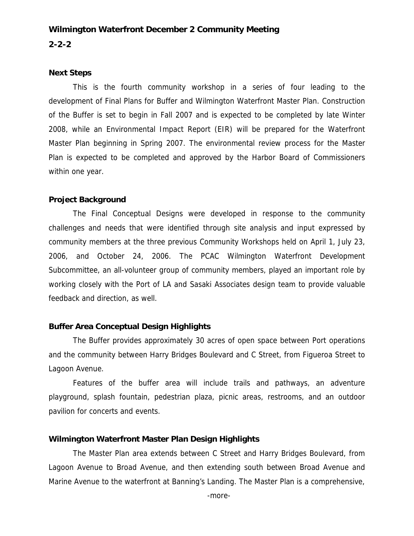### **Wilmington Waterfront December 2 Community Meeting 2-2-2**

#### **Next Steps**

This is the fourth community workshop in a series of four leading to the development of Final Plans for Buffer and Wilmington Waterfront Master Plan. Construction of the Buffer is set to begin in Fall 2007 and is expected to be completed by late Winter 2008, while an Environmental Impact Report (EIR) will be prepared for the Waterfront Master Plan beginning in Spring 2007. The environmental review process for the Master Plan is expected to be completed and approved by the Harbor Board of Commissioners within one year.

#### **Project Background**

The Final Conceptual Designs were developed in response to the community challenges and needs that were identified through site analysis and input expressed by community members at the three previous Community Workshops held on April 1, July 23, 2006, and October 24, 2006. The PCAC Wilmington Waterfront Development Subcommittee, an all-volunteer group of community members, played an important role by working closely with the Port of LA and Sasaki Associates design team to provide valuable feedback and direction, as well.

#### **Buffer Area Conceptual Design Highlights**

The Buffer provides approximately 30 acres of open space between Port operations and the community between Harry Bridges Boulevard and C Street, from Figueroa Street to Lagoon Avenue.

Features of the buffer area will include trails and pathways, an adventure playground, splash fountain, pedestrian plaza, picnic areas, restrooms, and an outdoor pavilion for concerts and events.

#### **Wilmington Waterfront Master Plan Design Highlights**

The Master Plan area extends between C Street and Harry Bridges Boulevard, from Lagoon Avenue to Broad Avenue, and then extending south between Broad Avenue and Marine Avenue to the waterfront at Banning's Landing. The Master Plan is a comprehensive,